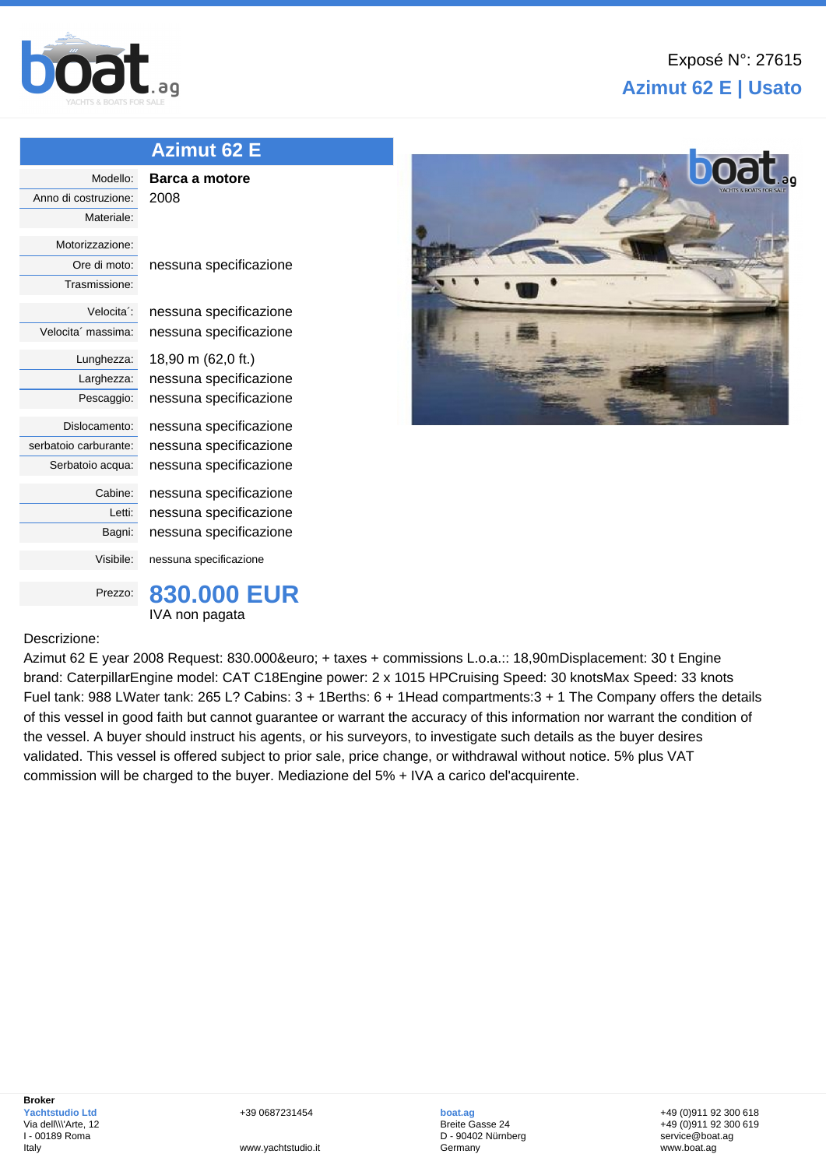

| <b>Azimut 62 E</b>      |                        |
|-------------------------|------------------------|
| Modello:                | Barca a motore         |
| Anno di costruzione:    | 2008                   |
| Materiale:              |                        |
| Motorizzazione:         |                        |
| Ore di moto:            | nessuna specificazione |
| Trasmissione:           |                        |
| Velocita <sup>2</sup> : | nessuna specificazione |
| Velocita' massima:      | nessuna specificazione |
| Lunghezza:              | 18,90 m (62,0 ft.)     |
| Larghezza:              | nessuna specificazione |
| Pescaggio:              | nessuna specificazione |
| Dislocamento:           | nessuna specificazione |
| serbatoio carburante:   | nessuna specificazione |
| Serbatoio acqua:        | nessuna specificazione |
| Cabine:                 | nessuna specificazione |
| Letti:                  | nessuna specificazione |
| Bagni:                  | nessuna specificazione |
| Visibile:               | nessuna specificazione |
| Prezzo:                 | 830.000 EUR            |
|                         | IVA non pagata         |

## Descrizione:

Azimut 62 E year 2008 Request: 830.000€ + taxes + commissions L.o.a.:: 18,90mDisplacement: 30 t Engine brand: CaterpillarEngine model: CAT C18Engine power: 2 x 1015 HPCruising Speed: 30 knotsMax Speed: 33 knots Fuel tank: 988 LWater tank: 265 L? Cabins: 3 + 1Berths: 6 + 1Head compartments:3 + 1 The Company offers the details of this vessel in good faith but cannot guarantee or warrant the accuracy of this information nor warrant the condition of the vessel. A buyer should instruct his agents, or his surveyors, to investigate such details as the buyer desires validated. This vessel is offered subject to prior sale, price change, or withdrawal without notice. 5% plus VAT commission will be charged to the buyer. Mediazione del 5% + IVA a carico del'acquirente.



+39 0687231454

www.yachtstudio.it

**boat.ag** Breite Gasse 24 D - 90402 Nürnberg Germany

+49 (0)911 92 300 618 +49 (0)911 92 300 619 service@boat.ag www.boat.ag